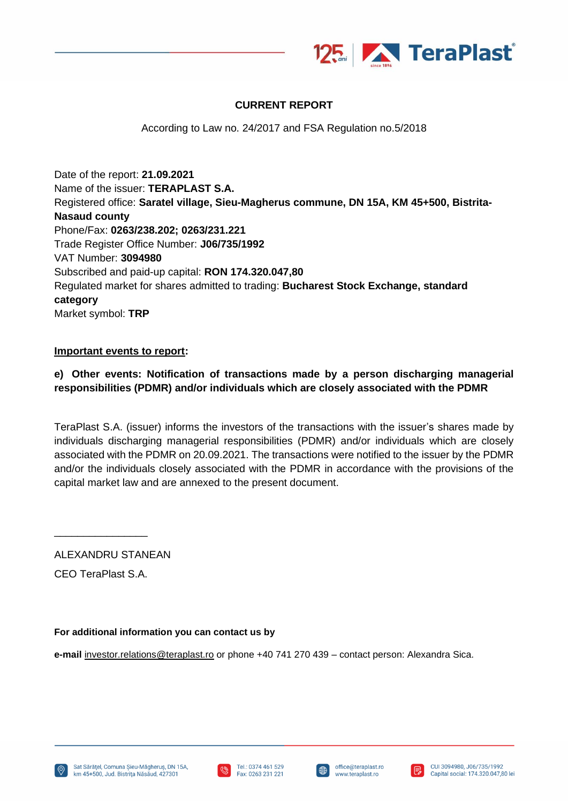

# **CURRENT REPORT**

According to Law no. 24/2017 and FSA Regulation no.5/2018

Date of the report: **21.09.2021** Name of the issuer: **TERAPLAST S.A.** Registered office: **Saratel village, Sieu-Magherus commune, DN 15A, KM 45+500, Bistrita-Nasaud county** Phone/Fax: **0263/238.202; 0263/231.221** Trade Register Office Number: **J06/735/1992** VAT Number: **3094980** Subscribed and paid-up capital: **RON 174.320.047,80** Regulated market for shares admitted to trading: **Bucharest Stock Exchange, standard category** Market symbol: **TRP**

#### **Important events to report:**

# **e) Other events: Notification of transactions made by a person discharging managerial responsibilities (PDMR) and/or individuals which are closely associated with the PDMR**

TeraPlast S.A. (issuer) informs the investors of the transactions with the issuer's shares made by individuals discharging managerial responsibilities (PDMR) and/or individuals which are closely associated with the PDMR on 20.09.2021. The transactions were notified to the issuer by the PDMR and/or the individuals closely associated with the PDMR in accordance with the provisions of the capital market law and are annexed to the present document.

ALEXANDRU STANEAN

CEO TeraPlast S.A.

\_\_\_\_\_\_\_\_\_\_\_\_\_\_\_\_

### **For additional information you can contact us by**

**e-mail** [investor.relations@teraplast.ro](mailto:investor.relations@teraplast.ro) or phone +40 741 270 439 – contact person: Alexandra Sica.